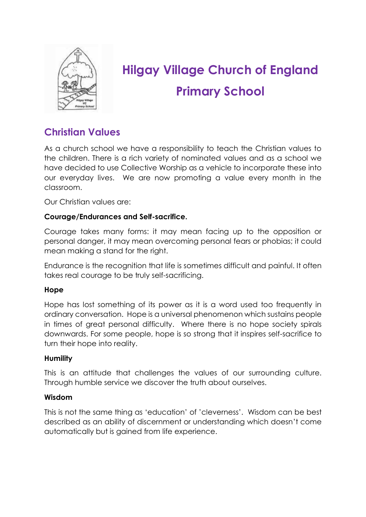

# **Hilgay Village Church of England Primary School**

# **Christian Values**

As a church school we have a responsibility to teach the Christian values to the children. There is a rich variety of nominated values and as a school we have decided to use Collective Worship as a vehicle to incorporate these into our everyday lives. We are now promoting a value every month in the classroom.

Our Christian values are:

#### **Courage/Endurances and Self-sacrifice.**

Courage takes many forms: it may mean facing up to the opposition or personal danger, it may mean overcoming personal fears or phobias; it could mean making a stand for the right.

Endurance is the recognition that life is sometimes difficult and painful. It often takes real courage to be truly self-sacrificing.

#### **Hope**

Hope has lost something of its power as it is a word used too frequently in ordinary conversation. Hope is a universal phenomenon which sustains people in times of great personal difficulty. Where there is no hope society spirals downwards. For some people, hope is so strong that it inspires self-sacrifice to turn their hope into reality.

#### **Humility**

This is an attitude that challenges the values of our surrounding culture. Through humble service we discover the truth about ourselves.

#### **Wisdom**

This is not the same thing as 'education' of 'cleverness'. Wisdom can be best described as an ability of discernment or understanding which doesn't come automatically but is gained from life experience.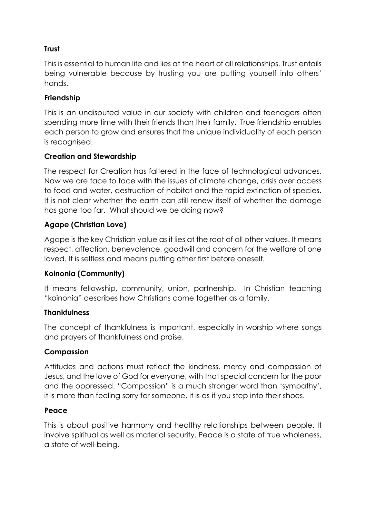# **Trust**

This is essential to human life and lies at the heart of all relationships. Trust entails being vulnerable because by trusting you are putting yourself into others' hands.

# **Friendship**

This is an undisputed value in our society with children and teenagers often spending more time with their friends than their family. True friendship enables each person to grow and ensures that the unique individuality of each person is recognised.

# **Creation and Stewardship**

The respect for Creation has faltered in the face of technological advances. Now we are face to face with the issues of climate change, crisis over access to food and water, destruction of habitat and the rapid extinction of species. It is not clear whether the earth can still renew itself of whether the damage has gone too far. What should we be doing now?

# **Agape (Christian Love)**

Agape is the key Christian value as it lies at the root of all other values. It means respect, affection, benevolence, goodwill and concern for the welfare of one loved. It is selfless and means putting other first before oneself.

# **Koinonia (Community)**

It means fellowship, community, union, partnership. In Christian teaching "koinonia" describes how Christians come together as a family.

# **Thankfulness**

The concept of thankfulness is important, especially in worship where songs and prayers of thankfulness and praise.

#### **Compassion**

Attitudes and actions must reflect the kindness, mercy and compassion of Jesus, and the love of God for everyone, with that special concern for the poor and the oppressed. "Compassion" is a much stronger word than 'sympathy', it is more than feeling sorry for someone, it is as if you step into their shoes.

#### **Peace**

This is about positive harmony and healthy relationships between people. It involve spiritual as well as material security. Peace is a state of true wholeness, a state of well-being.